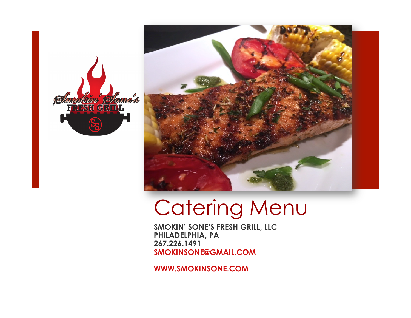



# Catering Menu

**SMOKIN' SONE'S FRESH GRILL, LLC PHILADELPHIA, PA 267.226.1491 SMOKINSONE@GMAIL.COM** 

**WWW.SMOKINSONE.COM**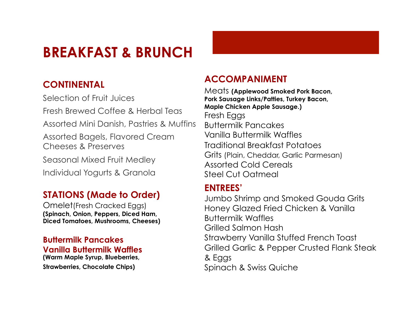## **BREAKFAST & BRUNCH**

#### **CONTINENTAL**

Selection of Fruit Juices Fresh Brewed Coffee & Herbal Teas Assorted Mini Danish, Pastries & Muffins Assorted Bagels, Flavored Cream Cheeses & Preserves Seasonal Mixed Fruit Medley Individual Yogurts & Granola

#### **STATIONS (Made to Order)**

Omelet(Fresh Cracked Eggs) **(Spinach, Onion, Peppers, Diced Ham, Diced Tomatoes, Mushrooms, Cheeses)** 

#### **Buttermilk Pancakes Vanilla Buttermilk Waffles**

**(Warm Maple Syrup, Blueberries, Strawberries, Chocolate Chips)**

#### **ACCOMPANIMENT**

Meats **(Applewood Smoked Pork Bacon, Pork Sausage Links/Patties, Turkey Bacon, Maple Chicken Apple Sausage.)**  Fresh Eggs Buttermilk Pancakes Vanilla Buttermilk Waffles Traditional Breakfast Potatoes Grits (Plain, Cheddar, Garlic Parmesan) Assorted Cold Cereals Steel Cut Oatmeal

#### **ENTREES'**

Jumbo Shrimp and Smoked Gouda Grits Honey Glazed Fried Chicken & Vanilla Buttermilk Waffles Grilled Salmon Hash Strawberry Vanilla Stuffed French Toast Grilled Garlic & Pepper Crusted Flank Steak & Eggs Spinach & Swiss Quiche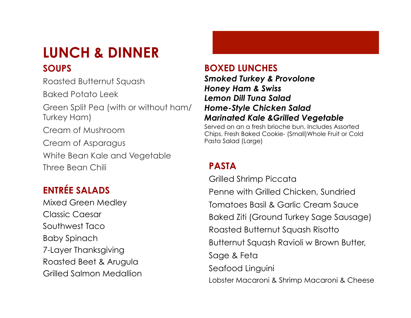## **LUNCH & DINNER SOUPS**

Roasted Butternut Squash

Baked Potato Leek

Green Split Pea (with or without ham/ Turkey Ham)

Cream of Mushroom

Cream of Asparagus

White Bean Kale and Vegetable Three Bean Chili **PASTA** 

### **ENTRÉE SALADS**

Mixed Green Medley Classic Caesar Southwest Taco Baby Spinach 7-Layer Thanksgiving Roasted Beet & Arugula Grilled Salmon Medallion

#### **BOXED LUNCHES**

*Smoked Turkey & Provolone Honey Ham & Swiss Lemon Dill Tuna Salad Home-Style Chicken Salad Marinated Kale &Grilled Vegetable*

Served on an a fresh brioche bun, Includes Assorted Chips, Fresh Baked Cookie- (Small)Whole Fruit or Cold Pasta Salad (Large)

Grilled Shrimp Piccata Penne with Grilled Chicken, Sundried Tomatoes Basil & Garlic Cream Sauce Baked Ziti (Ground Turkey Sage Sausage) Roasted Butternut Squash Risotto Butternut Squash Ravioli w Brown Butter, Sage & Feta Seafood Linguini Lobster Macaroni & Shrimp Macaroni & Cheese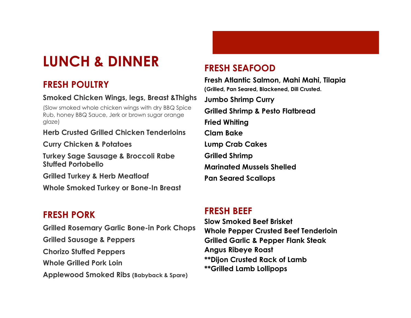## **LUNCH & DINNER**

#### **FRESH POULTRY**

#### **Smoked Chicken Wings, legs, Breast &Thighs**

(Slow smoked whole chicken wings with dry BBQ Spice Rub, honey BBQ Sauce, Jerk or brown sugar orange glaze)

**Herb Crusted Grilled Chicken Tenderloins** 

**Curry Chicken & Potatoes** 

**Turkey Sage Sausage & Broccoli Rabe Stuffed Portobello** 

**Grilled Turkey & Herb Meatloaf** 

**Whole Smoked Turkey or Bone-In Breast** 

#### **FRESH PORK**

**Grilled Rosemary Garlic Bone-in Pork Chops Grilled Sausage & Peppers Chorizo Stuffed Peppers Whole Grilled Pork Loin Applewood Smoked Ribs (Babyback & Spare)** 

#### **FRESH SEAFOOD**

**Fresh Atlantic Salmon, Mahi Mahi, Tilapia (Grilled, Pan Seared, Blackened, Dill Crusted. Jumbo Shrimp Curry Grilled Shrimp & Pesto Flatbread Fried Whiting Clam Bake Lump Crab Cakes Grilled Shrimp Marinated Mussels Shelled Pan Seared Scallops** 

#### **FRESH BEEF**

**Slow Smoked Beef Brisket Whole Pepper Crusted Beef Tenderloin Grilled Garlic & Pepper Flank Steak Angus Ribeye Roast \*\*Dijon Crusted Rack of Lamb \*\*Grilled Lamb Lollipops**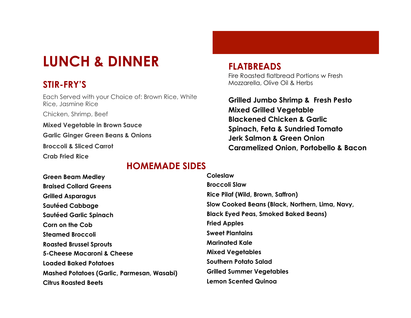## **LUNCH & DINNER**

#### **STIR-FRY'S**

Each Served with your Choice of: Brown Rice, White Rice, Jasmine Rice

Chicken, Shrimp, Beef

**Mixed Vegetable in Brown Sauce Garlic Ginger Green Beans & Onions Broccoli & Sliced Carrot** 

**Crab Fried Rice** 

#### **HOMEMADE SIDES**

**Green Beam Medley Braised Collard Greens Grilled Asparagus Sautéed Cabbage Sautéed Garlic Spinach Corn on the Cob Steamed Broccoli Roasted Brussel Sprouts 5-Cheese Macaroni & Cheese Loaded Baked Potatoes Mashed Potatoes (Garlic, Parmesan, Wasabi) Citrus Roasted Beets Coleslaw Broccoli Slaw Rice Pilaf (Wild, Brown, Saffron) Slow Cooked Beans (Black, Northern, Lima, Navy, Black Eyed Peas, Smoked Baked Beans) Fried Apples Sweet Plantains Marinated Kale Mixed Vegetables Southern Potato Salad Grilled Summer Vegetables Lemon Scented Quinoa** 

**FLATBREADS**  Fire Roasted flatbread Portions w Fresh Mozzarella, Olive Oil & Herbs

**Grilled Jumbo Shrimp & Fresh Pesto Mixed Grilled Vegetable Blackened Chicken & Garlic Spinach, Feta & Sundried Tomato Jerk Salmon & Green Onion Caramelized Onion, Portobello & Bacon**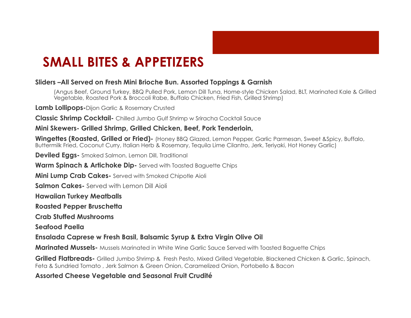

## **SMALL BITES & APPETIZERS**

#### **Sliders –All Served on Fresh Mini Brioche Bun. Assorted Toppings & Garnish**

(Angus Beef, Ground Turkey, BBQ Pulled Pork, Lemon Dill Tuna, Home-style Chicken Salad, BLT, Marinated Kale & Grilled Vegetable, Roasted Pork & Broccoli Rabe, Buffalo Chicken, Fried Fish, Grilled Shrimp)

**Lamb Lollipops-**Dijon Garlic & Rosemary Crusted

**Classic Shrimp Cocktail-** Chilled Jumbo Gulf Shrimp w Sriracha Cocktail Sauce

**Mini Skewers- Grilled Shrimp, Grilled Chicken, Beef, Pork Tenderloin,** 

**Wingettes (Roasted, Grilled or Fried)-** (Honey BBQ Glazed, Lemon Pepper, Garlic Parmesan, Sweet &Spicy, Buffalo, Buttermilk Fried, Coconut Curry, Italian Herb & Rosemary, Tequila Lime Cilantro, Jerk, Teriyaki, Hot Honey Garlic)

**Deviled Eggs-** Smoked Salmon, Lemon Dill, Traditional

**Warm Spinach & Artichoke Dip-** Served with Toasted Baguette Chips

**Mini Lump Crab Cakes-** Served with Smoked Chipotle Aioli

**Salmon Cakes-** Served with Lemon Dill Aioli

**Hawaiian Turkey Meatballs** 

**Roasted Pepper Bruschetta** 

**Crab Stuffed Mushrooms** 

**Seafood Paella** 

**Ensalada Caprese w Fresh Basil, Balsamic Syrup & Extra Virgin Olive Oil** 

**Marinated Mussels-** Mussels Marinated in White Wine Garlic Sauce Served with Toasted Baguette Chips

**Grilled Flatbreads-** Grilled Jumbo Shrimp & Fresh Pesto, Mixed Grilled Vegetable, Blackened Chicken & Garlic, Spinach, Feta & Sundried Tomato , Jerk Salmon & Green Onion, Caramelized Onion, Portobello & Bacon

**Assorted Cheese Vegetable and Seasonal Fruit Crudité**